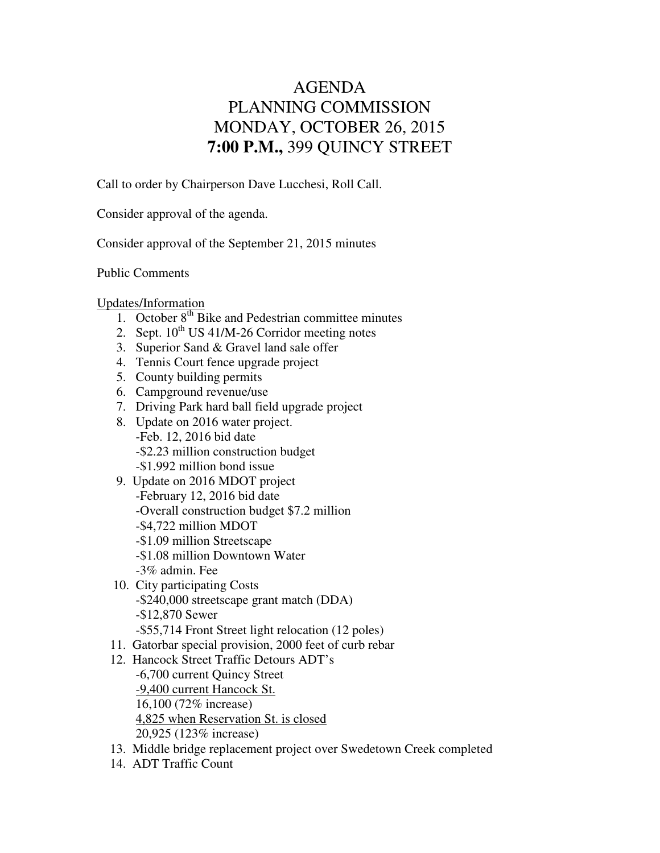# AGENDA PLANNING COMMISSION MONDAY, OCTOBER 26, 2015 **7:00 P.M.,** 399 QUINCY STREET

Call to order by Chairperson Dave Lucchesi, Roll Call.

Consider approval of the agenda.

Consider approval of the September 21, 2015 minutes

### Public Comments

### Updates/Information

- 1. October  $8<sup>th</sup>$  Bike and Pedestrian committee minutes
- 2. Sept.  $10^{th}$  US 41/M-26 Corridor meeting notes
- 3. Superior Sand & Gravel land sale offer
- 4. Tennis Court fence upgrade project
- 5. County building permits
- 6. Campground revenue/use
- 7. Driving Park hard ball field upgrade project
- 8. Update on 2016 water project.
	- -Feb. 12, 2016 bid date -\$2.23 million construction budget -\$1.992 million bond issue
- 9. Update on 2016 MDOT project -February 12, 2016 bid date -Overall construction budget \$7.2 million -\$4,722 million MDOT -\$1.09 million Streetscape -\$1.08 million Downtown Water -3% admin. Fee
- 10. City participating Costs -\$240,000 streetscape grant match (DDA) -\$12,870 Sewer -\$55,714 Front Street light relocation (12 poles)
- 11. Gatorbar special provision, 2000 feet of curb rebar
- 12. Hancock Street Traffic Detours ADT's -6,700 current Quincy Street -9,400 current Hancock St. 16,100 (72% increase) 4,825 when Reservation St. is closed 20,925 (123% increase)
- 13. Middle bridge replacement project over Swedetown Creek completed
- 14. ADT Traffic Count